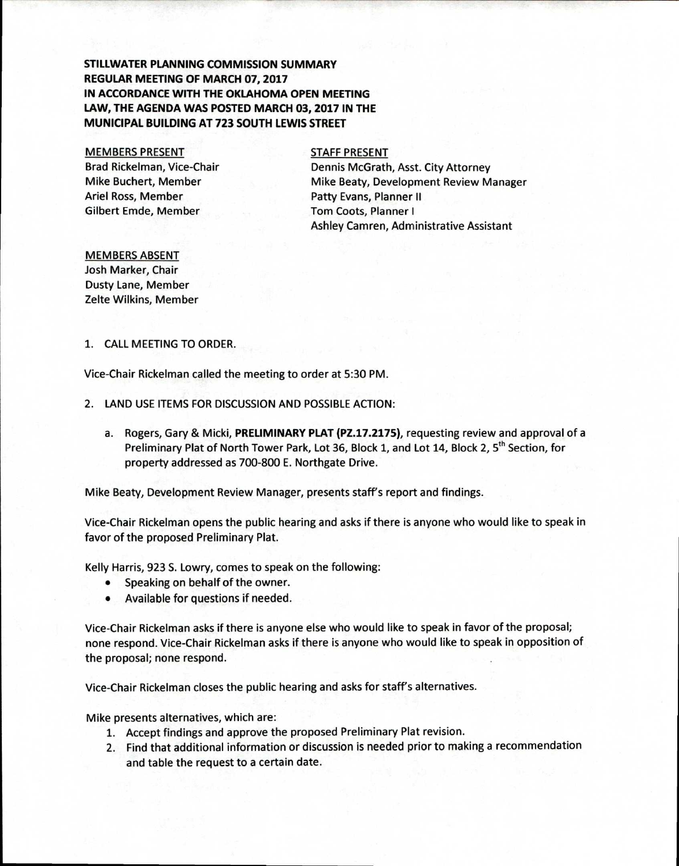# **STILLWATER PLANNING COMMISSION SUMMARY REGULAR MEETING OF MARCH 07, 2017 IN ACCORDANCE WITH THE OKLAHOMA OPEN MEETING LAW, THE AGENDA WAS POSTED MARCH 03, 2017 IN THE MUNICIPAL BUILDING AT 723 SOUTH LEWIS STREET**

### MEMBERS PRESENT

Brad Rickelman, Vice-Chair Mike Buchert, Member Ariel Ross, Member Gilbert Emde, Member

### STAFF PRESENT

Dennis McGrath, Asst. City Attorney Mike Beaty, Development Review Manager Patty Evans, Planner II Tom Coots, Planner I Ashley Camren, Administrative Assistant

## MEMBERS ABSENT

Josh Marker, Chair Dusty Lane, Member Zelte Wilkins, Member

## 1. CALL MEETING TO ORDER.

Vice-Chair Rickelman called the meeting to order at 5:30 PM.

- 2. LAND USE ITEMS FOR DISCUSSION AND POSSIBLE ACTION:
	- a. Rogers, Gary & Micki, **PRELIMINARY PLAT (PZ.17.2175),** requesting review and approval of a Preliminary Plat of North Tower Park, Lot 36, Block 1, and Lot 14, Block 2, 5<sup>th</sup> Section, for property addressed as 700-800 E. Northgate Drive.

Mike Beaty, Development Review Manager, presents staff's report and findings.

Vice-Chair Rickelman opens the public hearing and asks if there is anyone who would like to speak in favor of the proposed Preliminary Plat.

Kelly Harris, 923 S. Lowry, comes to speak on the following:

- Speaking on behalf of the owner.
- Available for questions if needed.

Vice-Chair Rickelman asks if there is anyone else who would like to speak in favor of the proposal; none respond. Vice-Chair Rickelman asks if there is anyone who would like to speak in opposition of the proposal; none respond.

Vice-Chair Rickelman closes the public hearing and asks for staff's alternatives.

Mike presents alternatives, which are:

- 1. Accept findings and approve the proposed Preliminary Plat revision.
- 2. Find that additional information or discussion is needed prior to making a recommendation and table the request to a certain date.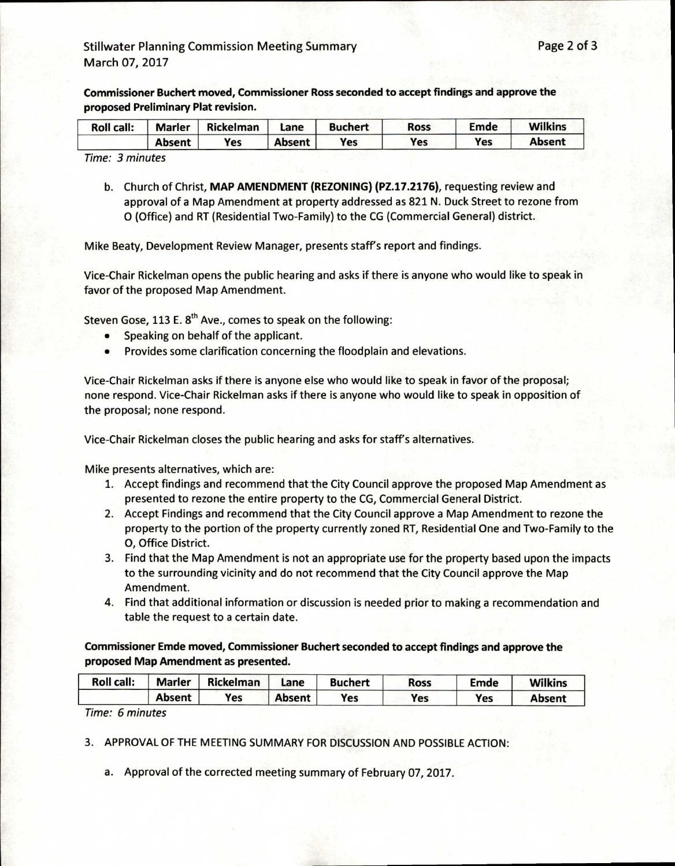**Commissioner Buchert moved, Commissioner Ross seconded to accept findings and approve the proposed Preliminary Plat revision.** 

| <b>Roll call:</b> | <b>Marler</b> | Rickelman | Lane          | <b>Buchert</b> | <b>Ross</b> | Emde | <b>Wilkins</b> |
|-------------------|---------------|-----------|---------------|----------------|-------------|------|----------------|
|                   | Absent        | Yes       | <b>Absent</b> | Yes            | Yes         | Yes  | <b>Absent</b>  |

Time: 3 minutes

b. Church of Christ, **MAP AMENDMENT (REZONING) (PZ.17.2176),** requesting review and approval of a Map Amendment at property addressed as 821 N. Duck Street to rezone from 0 (Office) and RT (Residential Two-Family) to the CG (Commercial General) district.

Mike Beaty, Development Review Manager, presents staff's report and findings.

Vice-Chair Rickelman opens the public hearing and asks if there is anyone who would like to speak in favor of the proposed Map Amendment.

Steven Gose, 113 E. 8<sup>th</sup> Ave., comes to speak on the following:

- Speaking on behalf of the applicant.
- Provides some clarification concerning the floodplain and elevations.

Vice-Chair Rickelman asks if there is anyone else who would like to speak in favor of the proposal; none respond. Vice-Chair Rickelman asks if there is anyone who would like to speak in opposition of the proposal; none respond.

Vice-Chair Rickelman closes the public hearing and asks for staff's alternatives.

Mike presents alternatives, which are:

- 1. Accept findings and recommend that the City Council approve the proposed Map Amendment as presented to rezone the entire property to the CG, Commercial General District.
- 2. Accept Findings and recommend that the City Council approve a Map Amendment to rezone the property to the portion of the property currently zoned RT, Residential One and Two-Family to the 0, Office District.
- 3. Find that the Map Amendment is not an appropriate use for the property based upon the impacts to the surrounding vicinity and do not recommend that the City Council approve the Map Amendment.
- 4. Find that additional information or discussion is needed prior to making a recommendation and table the request to a certain date.

**Commissioner Emde moved, Commissioner Buchert seconded to accept findings and approve the proposed Map Amendment as presented.** 

| Roll call: | <b>Marler</b> | <b>Rickelman</b> | Lane          | <b>Buchert</b> | <b>Ross</b> | Emde | <b>Wilkins</b> |
|------------|---------------|------------------|---------------|----------------|-------------|------|----------------|
|            | <b>Absent</b> | Yes              | <b>Absent</b> | Yes            | Yes         | Yes  | Absent         |

Time: 6 minutes

3. APPROVAL OF THE MEETING SUMMARY FOR DISCUSSION AND POSSIBLE ACTION:

a. Approval of the corrected meeting summary of February 07, 2017.